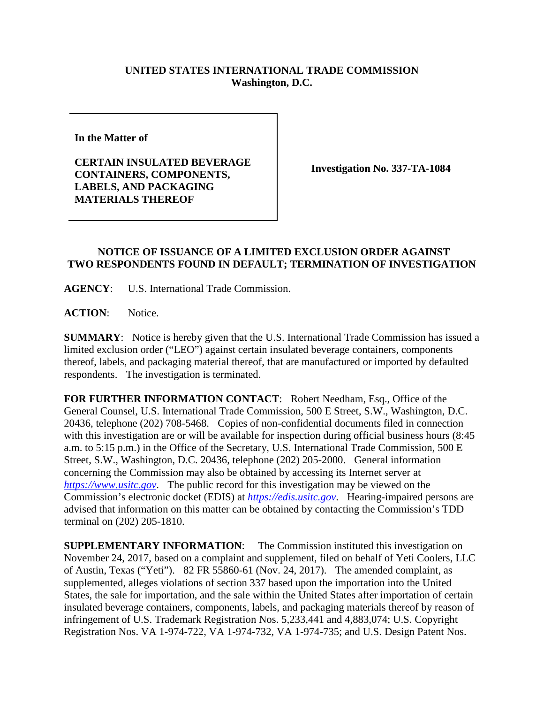## **UNITED STATES INTERNATIONAL TRADE COMMISSION Washington, D.C.**

**In the Matter of**

**CERTAIN INSULATED BEVERAGE CONTAINERS, COMPONENTS, LABELS, AND PACKAGING MATERIALS THEREOF**

**Investigation No. 337-TA-1084**

## **NOTICE OF ISSUANCE OF A LIMITED EXCLUSION ORDER AGAINST TWO RESPONDENTS FOUND IN DEFAULT; TERMINATION OF INVESTIGATION**

**AGENCY**: U.S. International Trade Commission.

**ACTION**: Notice.

**SUMMARY**: Notice is hereby given that the U.S. International Trade Commission has issued a limited exclusion order ("LEO") against certain insulated beverage containers, components thereof, labels, and packaging material thereof, that are manufactured or imported by defaulted respondents. The investigation is terminated.

**FOR FURTHER INFORMATION CONTACT**: Robert Needham, Esq., Office of the General Counsel, U.S. International Trade Commission, 500 E Street, S.W., Washington, D.C. 20436, telephone (202) 708-5468. Copies of non-confidential documents filed in connection with this investigation are or will be available for inspection during official business hours (8:45 a.m. to 5:15 p.m.) in the Office of the Secretary, U.S. International Trade Commission, 500 E Street, S.W., Washington, D.C. 20436, telephone (202) 205-2000. General information concerning the Commission may also be obtained by accessing its Internet server at *[https://www.usitc.gov](https://www.usitc.gov/)*. The public record for this investigation may be viewed on the Commission's electronic docket (EDIS) at *[https://edis.usitc.gov](https://edis.usitc.gov/)*. Hearing-impaired persons are advised that information on this matter can be obtained by contacting the Commission's TDD terminal on (202) 205-1810.

**SUPPLEMENTARY INFORMATION**: The Commission instituted this investigation on November 24, 2017, based on a complaint and supplement, filed on behalf of Yeti Coolers, LLC of Austin, Texas ("Yeti"). 82 FR 55860-61 (Nov. 24, 2017). The amended complaint, as supplemented, alleges violations of section 337 based upon the importation into the United States, the sale for importation, and the sale within the United States after importation of certain insulated beverage containers, components, labels, and packaging materials thereof by reason of infringement of U.S. Trademark Registration Nos. 5,233,441 and 4,883,074; U.S. Copyright Registration Nos. VA 1-974-722, VA 1-974-732, VA 1-974-735; and U.S. Design Patent Nos.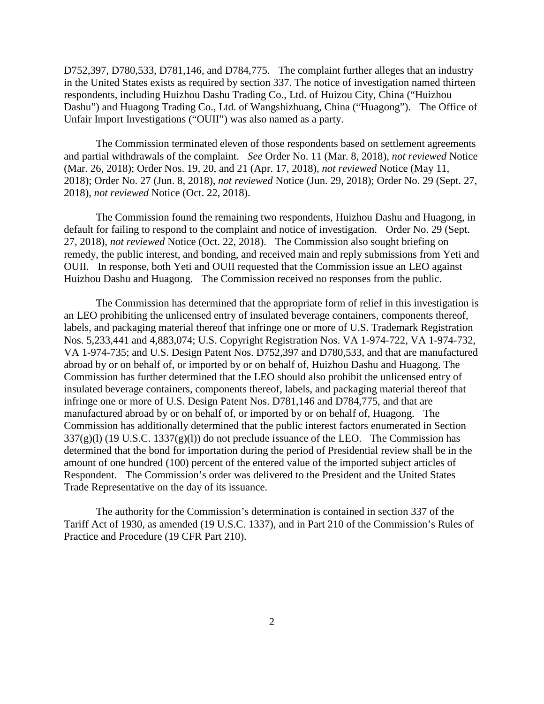D752,397, D780,533, D781,146, and D784,775. The complaint further alleges that an industry in the United States exists as required by section 337. The notice of investigation named thirteen respondents, including Huizhou Dashu Trading Co., Ltd. of Huizou City, China ("Huizhou Dashu") and Huagong Trading Co., Ltd. of Wangshizhuang, China ("Huagong"). The Office of Unfair Import Investigations ("OUII") was also named as a party.

The Commission terminated eleven of those respondents based on settlement agreements and partial withdrawals of the complaint. *See* Order No. 11 (Mar. 8, 2018), *not reviewed* Notice (Mar. 26, 2018); Order Nos. 19, 20, and 21 (Apr. 17, 2018), *not reviewed* Notice (May 11, 2018); Order No. 27 (Jun. 8, 2018), *not reviewed* Notice (Jun. 29, 2018); Order No. 29 (Sept. 27, 2018), *not reviewed* Notice (Oct. 22, 2018).

The Commission found the remaining two respondents, Huizhou Dashu and Huagong, in default for failing to respond to the complaint and notice of investigation. Order No. 29 (Sept. 27, 2018), *not reviewed* Notice (Oct. 22, 2018). The Commission also sought briefing on remedy, the public interest, and bonding, and received main and reply submissions from Yeti and OUII. In response, both Yeti and OUII requested that the Commission issue an LEO against Huizhou Dashu and Huagong. The Commission received no responses from the public.

The Commission has determined that the appropriate form of relief in this investigation is an LEO prohibiting the unlicensed entry of insulated beverage containers, components thereof, labels, and packaging material thereof that infringe one or more of U.S. Trademark Registration Nos. 5,233,441 and 4,883,074; U.S. Copyright Registration Nos. VA 1-974-722, VA 1-974-732, VA 1-974-735; and U.S. Design Patent Nos. D752,397 and D780,533, and that are manufactured abroad by or on behalf of, or imported by or on behalf of, Huizhou Dashu and Huagong. The Commission has further determined that the LEO should also prohibit the unlicensed entry of insulated beverage containers, components thereof, labels, and packaging material thereof that infringe one or more of U.S. Design Patent Nos. D781,146 and D784,775, and that are manufactured abroad by or on behalf of, or imported by or on behalf of, Huagong. The Commission has additionally determined that the public interest factors enumerated in Section  $337(g)(l)$  (19 U.S.C. 1337 $(g)(l)$ ) do not preclude issuance of the LEO. The Commission has determined that the bond for importation during the period of Presidential review shall be in the amount of one hundred (100) percent of the entered value of the imported subject articles of Respondent. The Commission's order was delivered to the President and the United States Trade Representative on the day of its issuance.

The authority for the Commission's determination is contained in section 337 of the Tariff Act of 1930, as amended (19 U.S.C. 1337), and in Part 210 of the Commission's Rules of Practice and Procedure (19 CFR Part 210).